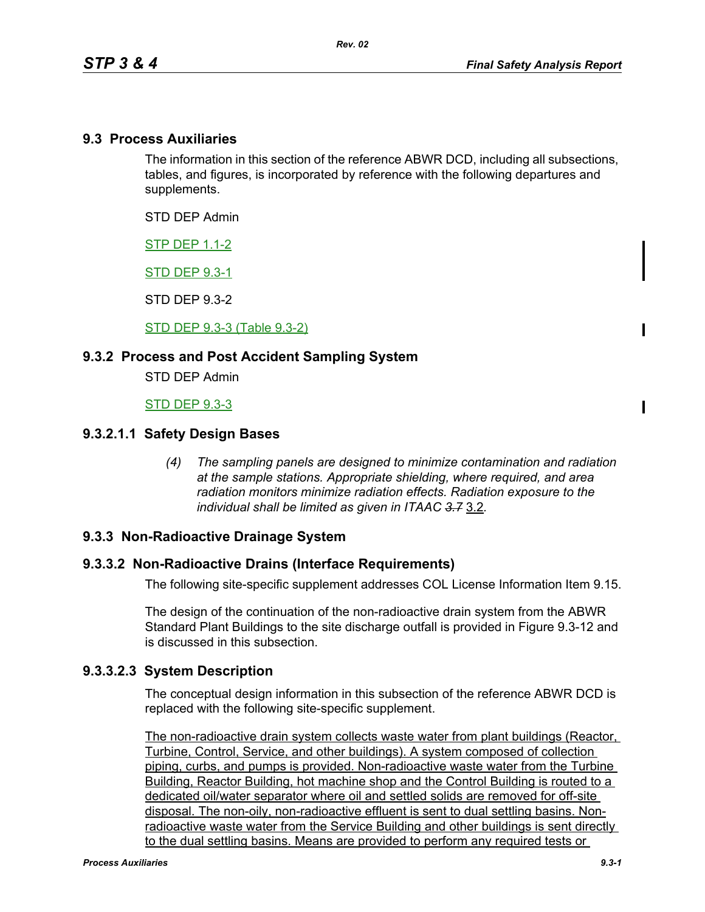#### **9.3 Process Auxiliaries**

The information in this section of the reference ABWR DCD, including all subsections, tables, and figures, is incorporated by reference with the following departures and supplements.

STD DEP Admin

STP DEP 1.1-2

STD DEP 9.3-1

STD DEP 9.3-2

STD DEP 9.3-3 (Table 9.3-2)

#### **9.3.2 Process and Post Accident Sampling System**

STD DEP Admin

STD DEP 9.3-3

#### **9.3.2.1.1 Safety Design Bases**

*(4) The sampling panels are designed to minimize contamination and radiation at the sample stations. Appropriate shielding, where required, and area radiation monitors minimize radiation effects. Radiation exposure to the individual shall be limited as given in ITAAC 3.7* 3.2*.*

#### **9.3.3 Non-Radioactive Drainage System**

#### **9.3.3.2 Non-Radioactive Drains (Interface Requirements)**

The following site-specific supplement addresses COL License Information Item 9.15.

The design of the continuation of the non-radioactive drain system from the ABWR Standard Plant Buildings to the site discharge outfall is provided in Figure 9.3-12 and is discussed in this subsection.

#### **9.3.3.2.3 System Description**

The conceptual design information in this subsection of the reference ABWR DCD is replaced with the following site-specific supplement.

The non-radioactive drain system collects waste water from plant buildings (Reactor, Turbine, Control, Service, and other buildings). A system composed of collection piping, curbs, and pumps is provided. Non-radioactive waste water from the Turbine Building, Reactor Building, hot machine shop and the Control Building is routed to a dedicated oil/water separator where oil and settled solids are removed for off-site disposal. The non-oily, non-radioactive effluent is sent to dual settling basins. Nonradioactive waste water from the Service Building and other buildings is sent directly to the dual settling basins. Means are provided to perform any required tests or

 $\mathbf I$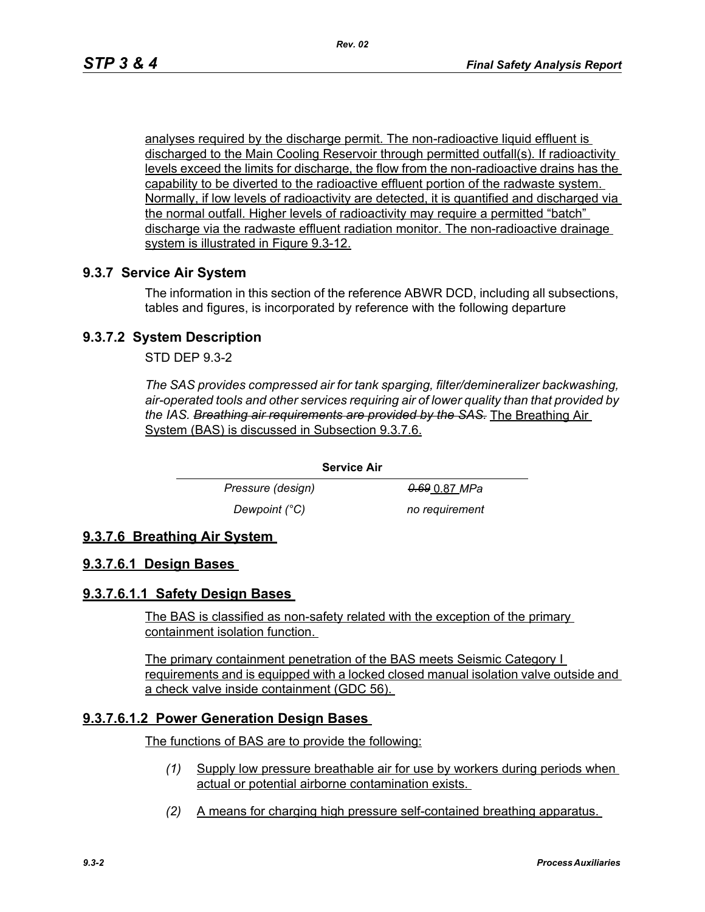analyses required by the discharge permit. The non-radioactive liquid effluent is discharged to the Main Cooling Reservoir through permitted outfall(s). If radioactivity levels exceed the limits for discharge, the flow from the non-radioactive drains has the capability to be diverted to the radioactive effluent portion of the radwaste system. Normally, if low levels of radioactivity are detected, it is quantified and discharged via the normal outfall. Higher levels of radioactivity may require a permitted "batch" discharge via the radwaste effluent radiation monitor. The non-radioactive drainage system is illustrated in Figure 9.3-12.

# **9.3.7 Service Air System**

The information in this section of the reference ABWR DCD, including all subsections, tables and figures, is incorporated by reference with the following departure

# **9.3.7.2 System Description**

STD DEP 9.3-2

*The SAS provides compressed air for tank sparging, filter/demineralizer backwashing, air-operated tools and other services requiring air of lower quality than that provided by the IAS. Breathing air requirements are provided by the SAS.* The Breathing Air System (BAS) is discussed in Subsection 9.3.7.6.

**Service Air**

*Pressure (design)* 0.69 0.87 *MPa Dewpoint (°C)* no requirement

# **9.3.7.6 Breathing Air System**

### **9.3.7.6.1 Design Bases**

### **9.3.7.6.1.1 Safety Design Bases**

The BAS is classified as non-safety related with the exception of the primary containment isolation function.

The primary containment penetration of the BAS meets Seismic Category I requirements and is equipped with a locked closed manual isolation valve outside and a check valve inside containment (GDC 56).

### **9.3.7.6.1.2 Power Generation Design Bases**

The functions of BAS are to provide the following:

- *(1)* Supply low pressure breathable air for use by workers during periods when actual or potential airborne contamination exists.
- *(2)* A means for charging high pressure self-contained breathing apparatus.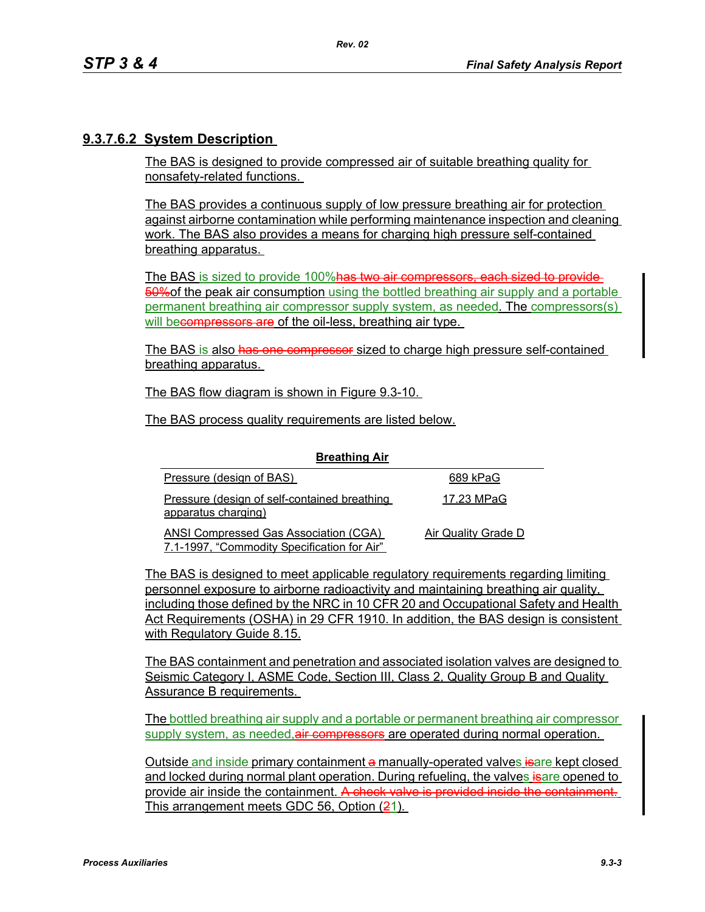### **9.3.7.6.2 System Description**

The BAS is designed to provide compressed air of suitable breathing quality for nonsafety-related functions.

The BAS provides a continuous supply of low pressure breathing air for protection against airborne contamination while performing maintenance inspection and cleaning work. The BAS also provides a means for charging high pressure self-contained breathing apparatus.

The BAS is sized to provide 100%has two air compressors, each sized to provide-50%of the peak air consumption using the bottled breathing air supply and a portable permanent breathing air compressor supply system, as needed. The compressors(s) will becompressors are of the oil-less, breathing air type.

The BAS is also has one compressor sized to charge high pressure self-contained breathing apparatus.

The BAS flow diagram is shown in Figure 9.3-10.

The BAS process quality requirements are listed below.

| <b>Breathing Air</b>                                                                 |                     |
|--------------------------------------------------------------------------------------|---------------------|
| Pressure (design of BAS)                                                             | 689 kPaG            |
| Pressure (design of self-contained breathing<br>apparatus charging)                  | 17.23 MPaG          |
| ANSI Compressed Gas Association (CGA)<br>7.1-1997, "Commodity Specification for Air" | Air Quality Grade D |

The BAS is designed to meet applicable regulatory requirements regarding limiting personnel exposure to airborne radioactivity and maintaining breathing air quality, including those defined by the NRC in 10 CFR 20 and Occupational Safety and Health Act Requirements (OSHA) in 29 CFR 1910. In addition, the BAS design is consistent with Regulatory Guide 8.15.

The BAS containment and penetration and associated isolation valves are designed to Seismic Category I, ASME Code, Section III, Class 2, Quality Group B and Quality Assurance B requirements.

The bottled breathing air supply and a portable or permanent breathing air compressor supply system, as needed, air compressors are operated during normal operation.

Outside and inside primary containment a manually-operated valves *isare kept closed* and locked during normal plant operation. During refueling, the valves is are opened to provide air inside the containment. A check valve is provided inside the containment. This arrangement meets GDC 56, Option (21).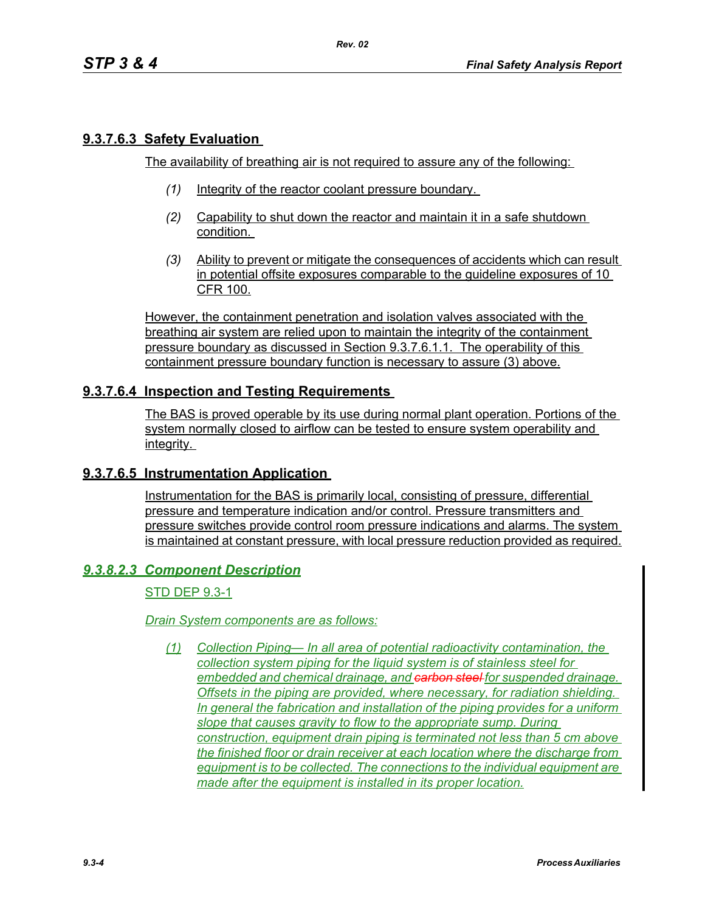# **9.3.7.6.3 Safety Evaluation**

The availability of breathing air is not required to assure any of the following:

- *(1)* Integrity of the reactor coolant pressure boundary.
- *(2)* Capability to shut down the reactor and maintain it in a safe shutdown condition.
- *(3)* Ability to prevent or mitigate the consequences of accidents which can result in potential offsite exposures comparable to the guideline exposures of 10 CFR 100.

However, the containment penetration and isolation valves associated with the breathing air system are relied upon to maintain the integrity of the containment pressure boundary as discussed in Section 9.3.7.6.1.1. The operability of this containment pressure boundary function is necessary to assure (3) above.

# **9.3.7.6.4 Inspection and Testing Requirements**

The BAS is proved operable by its use during normal plant operation. Portions of the system normally closed to airflow can be tested to ensure system operability and integrity.

### **9.3.7.6.5 Instrumentation Application**

Instrumentation for the BAS is primarily local, consisting of pressure, differential pressure and temperature indication and/or control. Pressure transmitters and pressure switches provide control room pressure indications and alarms. The system is maintained at constant pressure, with local pressure reduction provided as required.

### *9.3.8.2.3 Component Description*

### STD DEP 9.3-1

#### *Drain System components are as follows:*

*(1) Collection Piping— In all area of potential radioactivity contamination, the collection system piping for the liquid system is of stainless steel for embedded and chemical drainage, and carbon steel for suspended drainage. Offsets in the piping are provided, where necessary, for radiation shielding. In general the fabrication and installation of the piping provides for a uniform slope that causes gravity to flow to the appropriate sump. During construction, equipment drain piping is terminated not less than 5 cm above the finished floor or drain receiver at each location where the discharge from equipment is to be collected. The connections to the individual equipment are made after the equipment is installed in its proper location.*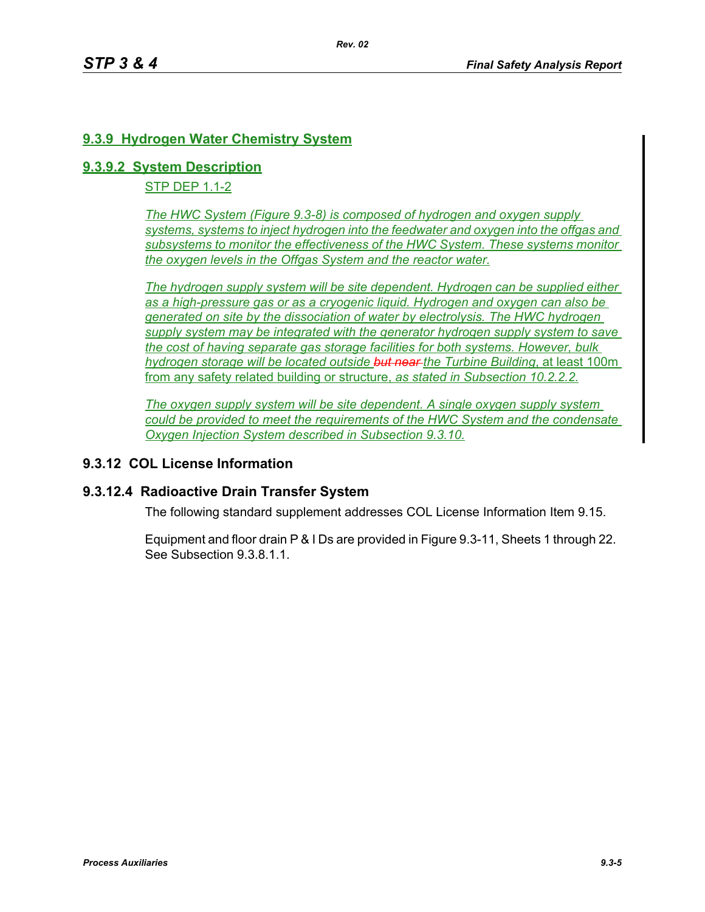# **9.3.9 Hydrogen Water Chemistry System**

#### **9.3.9.2 System Description**

STP DEP 1.1-2

*The HWC System (Figure 9.3-8) is composed of hydrogen and oxygen supply systems, systems to inject hydrogen into the feedwater and oxygen into the offgas and subsystems to monitor the effectiveness of the HWC System. These systems monitor the oxygen levels in the Offgas System and the reactor water.*

*The hydrogen supply system will be site dependent. Hydrogen can be supplied either as a high-pressure gas or as a cryogenic liquid. Hydrogen and oxygen can also be generated on site by the dissociation of water by electrolysis. The HWC hydrogen supply system may be integrated with the generator hydrogen supply system to save the cost of having separate gas storage facilities for both systems. However, bulk hydrogen storage will be located outside but near the Turbine Building*, at least 100m from any safety related building or structure, *as stated in Subsection 10.2.2.2.*

*The oxygen supply system will be site dependent. A single oxygen supply system could be provided to meet the requirements of the HWC System and the condensate Oxygen Injection System described in Subsection 9.3.10.*

### **9.3.12 COL License Information**

#### **9.3.12.4 Radioactive Drain Transfer System**

The following standard supplement addresses COL License Information Item 9.15.

Equipment and floor drain P & I Ds are provided in Figure 9.3-11, Sheets 1 through 22. See Subsection 9.3.8.1.1.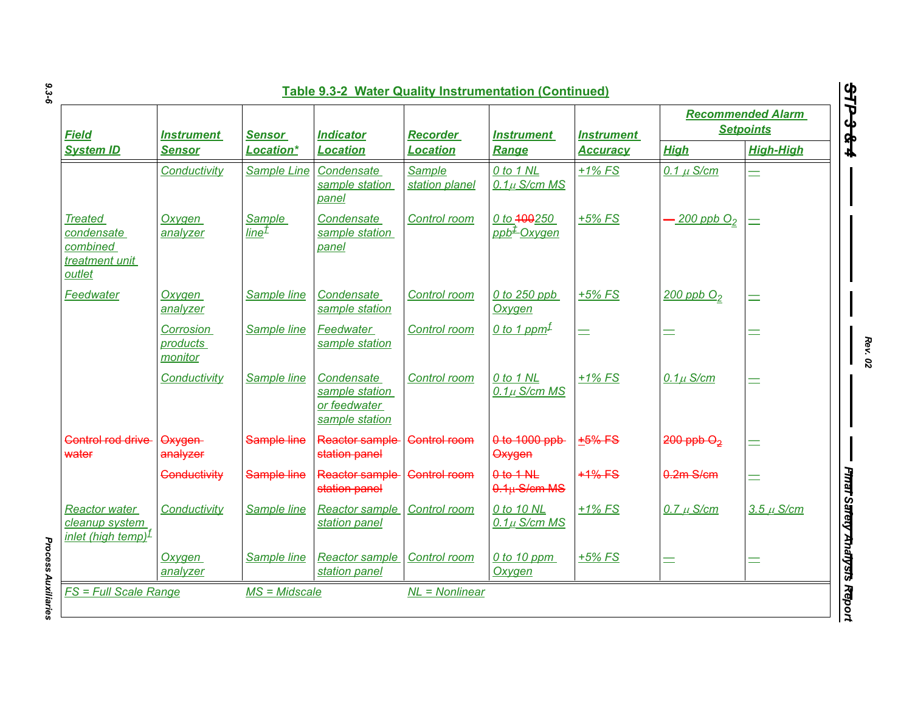|                                                                          |                                    |                             | <b>Table 9.3-2 Water Quality Instrumentation (Continued)</b>   |                                 |                                        |                                      |                                              |                                                      |
|--------------------------------------------------------------------------|------------------------------------|-----------------------------|----------------------------------------------------------------|---------------------------------|----------------------------------------|--------------------------------------|----------------------------------------------|------------------------------------------------------|
| <b>Field</b><br><b>System ID</b>                                         | <b>Instrument</b><br><b>Sensor</b> | <b>Sensor</b><br>Location*  | <b>Indicator</b><br>Location                                   | <b>Recorder</b><br>Location     | <b>Instrument</b><br>Range             | <b>Instrument</b><br><b>Accuracy</b> | <b>Recommended Alarm</b><br><b>Setpoints</b> |                                                      |
|                                                                          |                                    |                             |                                                                |                                 |                                        |                                      | <b>High</b>                                  | <b>High-High</b>                                     |
|                                                                          | Conductivity                       | Sample Line                 | Condensate<br>sample station<br>panel                          | <b>Sample</b><br>station planel | 0 to 1 NL<br>$0.1\mu$ S/cm MS          | $+1\%$ FS                            | $0.1 \mu$ S/cm                               |                                                      |
| <b>Treated</b><br>condensate<br>combined<br>treatment unit<br>outlet     | Oxygen<br>analyzer                 | Sample<br>line <sup>±</sup> | Condensate<br>sample station<br>panel                          | Control room                    | 0 to 400250<br>ppb <sup>±</sup> Oxygen | $+5%$ FS                             | $\cdot$ 200 ppb $O_2$                        | $=$                                                  |
| Feedwater                                                                | Oxygen<br>analyzer                 | Sample line                 | Condensate<br>sample station                                   | Control room                    | 0 to 250 ppb<br><b>Oxygen</b>          | $+5\%$ FS                            | $200$ ppb $O2$                               | Ξ                                                    |
|                                                                          | Corrosion<br>products<br>monitor   | Sample line                 | Feedwater<br>sample station                                    | Control room                    | 0 to 1 ppm <sup><math>\pm</math></sup> | $=$                                  | Ξ                                            | Ξ                                                    |
|                                                                          | Conductivity                       | Sample line                 | Condensate<br>sample station<br>or feedwater<br>sample station | Control room                    | 0 to 1 NL<br>$0.1\mu$ S/cm MS          | $+1\%$ FS                            | $0.1\mu$ S/cm                                |                                                      |
| Control rod drive<br>water                                               | Oxygen-<br>analyzer                | Sample line                 | Reactor sample<br>station panel                                | <b>Control room</b>             | 0 to 1000 ppb<br>Oxygen                | $+5%$ FS                             | $200$ ppb $O2$                               | $\equiv$                                             |
|                                                                          | Conductivity                       | Sample line                 | Reactor sample<br>station panel                                | <b>Control room</b>             | $0$ to $1$ NL<br>$0.1u$ S/cm MS        | $+1\%$ FS                            | $0.2m$ S/cm                                  |                                                      |
| <b>Reactor water</b><br>cleanup system<br>inlet (high temp) <sup>f</sup> | Conductivity                       | Sample line                 | <b>Reactor sample</b><br>station panel                         | Control room                    | 0 to 10 NL<br>$0.1\mu$ S/cm MS         | $+1\%$ FS                            | $0.7 \mu$ S/cm                               | <b>Finai Salety Analysis Repor</b><br>$3.5 \mu$ S/cm |
|                                                                          | Oxygen<br>analyzer                 | Sample line                 | <b>Reactor sample</b><br>station panel                         | Control room                    | 0 to 10 ppm<br>Oxygen                  | $+5%$ FS                             | $=$                                          | Ξ                                                    |
| <b>FS = Full Scale Range</b>                                             |                                    | $MS = Midscale$             |                                                                | $NL = Nonlinear$                |                                        |                                      |                                              |                                                      |

*9.3-6*

*Rev. 02*

**Process Auxiliaries** *Process Auxiliaries*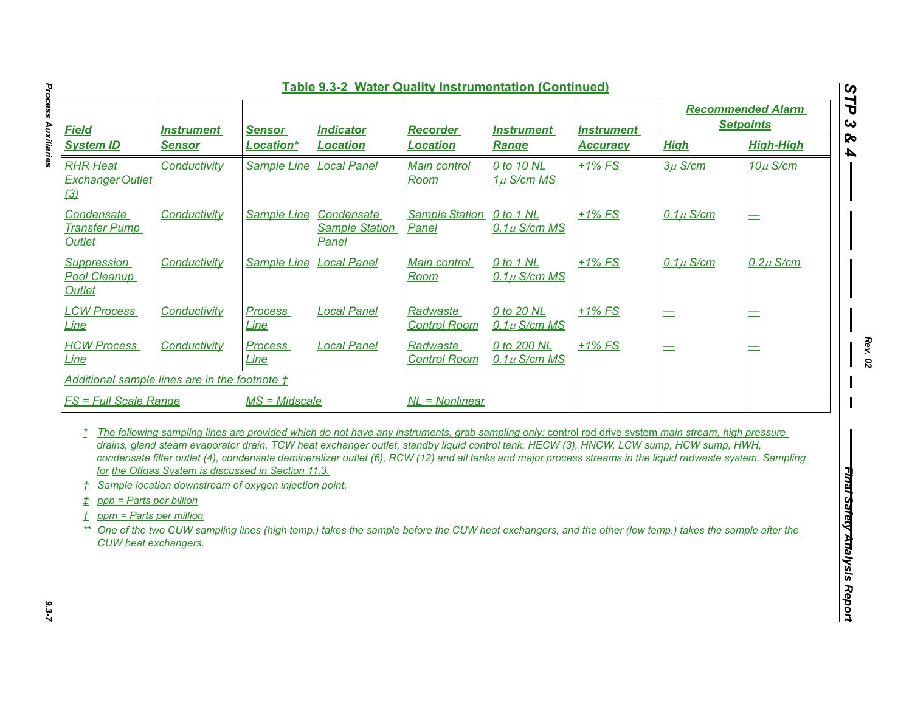| <b>Field</b><br><b>System ID</b>                                                                       | <b>Instrument</b><br><b>Sensor</b>                                                                           | <b>Sensor</b><br>Location* | <b>Indicator</b><br><b>Location</b>                                                                                                                                                                                                                                                                                                                                                                                                                                                                                                                                                                                   | <b>Recorder</b><br><b>Location</b> | <b>Instrument</b><br><b>Range</b> | <b>Instrument</b><br><u>Accuracy</u> | <b>Recommended Alarm</b><br><b>Setpoints</b> |                  |
|--------------------------------------------------------------------------------------------------------|--------------------------------------------------------------------------------------------------------------|----------------------------|-----------------------------------------------------------------------------------------------------------------------------------------------------------------------------------------------------------------------------------------------------------------------------------------------------------------------------------------------------------------------------------------------------------------------------------------------------------------------------------------------------------------------------------------------------------------------------------------------------------------------|------------------------------------|-----------------------------------|--------------------------------------|----------------------------------------------|------------------|
|                                                                                                        |                                                                                                              |                            |                                                                                                                                                                                                                                                                                                                                                                                                                                                                                                                                                                                                                       |                                    |                                   |                                      | <b>High</b>                                  | <b>High-High</b> |
| <b>RHR Heat</b><br><b>Exchanger Outlet</b><br>(3)                                                      | Conductivity                                                                                                 | Sample Line                | <b>Local Panel</b>                                                                                                                                                                                                                                                                                                                                                                                                                                                                                                                                                                                                    | Main control<br>Room               | 0 to 10 NL<br>$1\mu$ S/cm MS      | $+1\%$ FS                            | $3\mu$ S/cm                                  | $10\mu$ S/cm     |
| Condensate<br><b>Transfer Pump</b><br>Outlet                                                           | Conductivity                                                                                                 | <b>Sample Line</b>         | Condensate<br><b>Sample Station</b><br>Panel                                                                                                                                                                                                                                                                                                                                                                                                                                                                                                                                                                          | <b>Sample Station</b><br>Panel     | 0 to 1 NL<br>$0.1\mu$ S/cm MS     | $+1\%$ FS                            | $0.1\mu$ S/cm                                | $\equiv$         |
| Suppression<br>Pool Cleanup<br><b>Outlet</b>                                                           | Conductivity                                                                                                 | <b>Sample Line</b>         | <b>Local Panel</b>                                                                                                                                                                                                                                                                                                                                                                                                                                                                                                                                                                                                    | Main control<br>Room               | 0 to 1 NL<br>$0.1\mu$ S/cm MS     | $+1\%$ FS                            | $0.1\mu$ S/cm                                | $0.2\mu$ S/cm    |
| <b>LCW Process</b><br>Line                                                                             | Conductivity                                                                                                 | <b>Process</b><br>Line     | <b>Local Panel</b>                                                                                                                                                                                                                                                                                                                                                                                                                                                                                                                                                                                                    | Radwaste<br><b>Control Room</b>    | 0 to 20 NL<br>$0.1\mu$ S/cm MS    | $+1\%$ FS                            | Ξ                                            | $\equiv$         |
| <b>HCW Process</b><br>Line                                                                             | Conductivity                                                                                                 | <b>Process</b><br>Line     | <b>Local Panel</b>                                                                                                                                                                                                                                                                                                                                                                                                                                                                                                                                                                                                    | Radwaste<br><b>Control Room</b>    | 0 to 200 NL<br>$0.1\mu$ S/cm MS   | $+1\%$ FS                            | $=$                                          | Ξ                |
| Additional sample lines are in the footnote t                                                          |                                                                                                              |                            |                                                                                                                                                                                                                                                                                                                                                                                                                                                                                                                                                                                                                       |                                    |                                   |                                      |                                              |                  |
| <b>FS = Full Scale Range</b>                                                                           |                                                                                                              | $MS = Midscale$            |                                                                                                                                                                                                                                                                                                                                                                                                                                                                                                                                                                                                                       | $NL = Nonlinear$                   |                                   |                                      |                                              |                  |
| $\tau$<br>ppb = Parts per billion<br>±.<br>ppm = Parts per million<br>f<br><b>CUW</b> heat exchangers. | for the Offgas System is discussed in Section 11.3.<br>Sample location downstream of oxygen injection point. |                            | The following sampling lines are provided which do not have any instruments, grab sampling only: control rod drive system main stream, high pressure<br>drains, gland steam evaporator drain, TCW heat exchanger outlet, standby liquid control tank, HECW (3), HNCW, LCW sump, HCW sump, HWH,<br>condensate filter outlet (4), condensate demineralizer outlet (6), RCW (12) and all tanks and major process streams in the liquid radwaste system. Sampling<br>One of the two CUW sampling lines (high temp.) takes the sample before the CUW heat exchangers, and the other (low temp.) takes the sample after the |                                    |                                   |                                      |                                              |                  |

**Process Auxiliaries** *Process Auxiliaries 9.3-7*

*Rev. 02*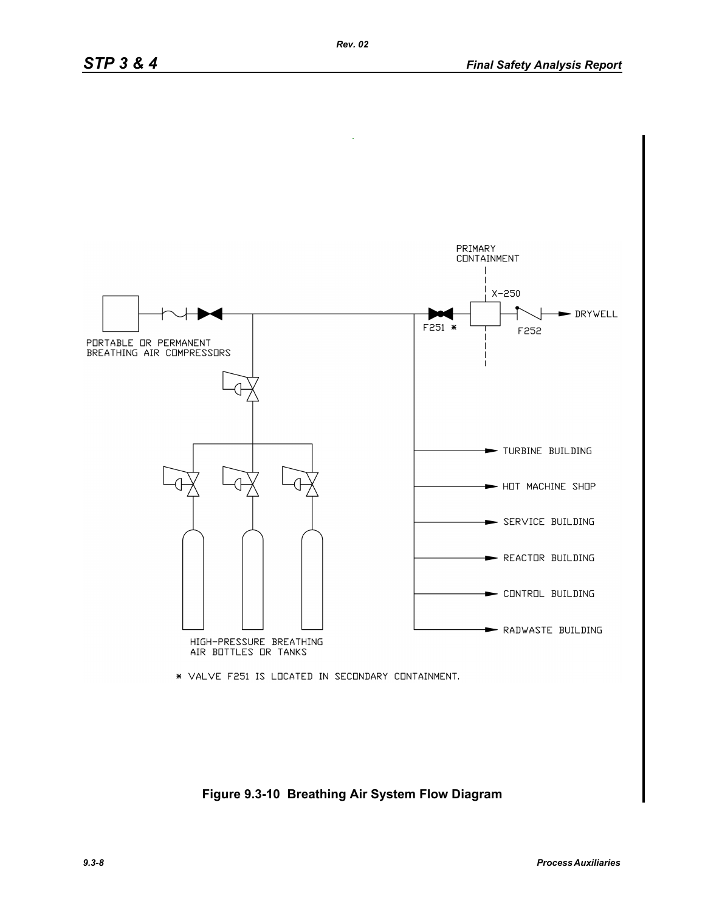

**Figure 9.3-10 Breathing Air System Flow Diagram**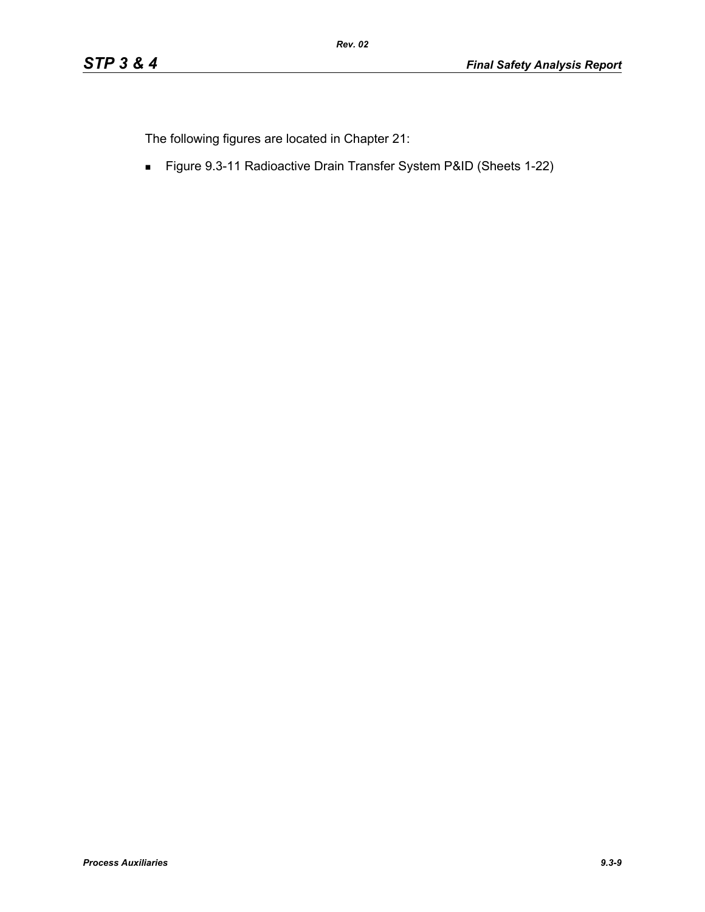The following figures are located in Chapter 21:

Figure 9.3-11 Radioactive Drain Transfer System P&ID (Sheets 1-22)